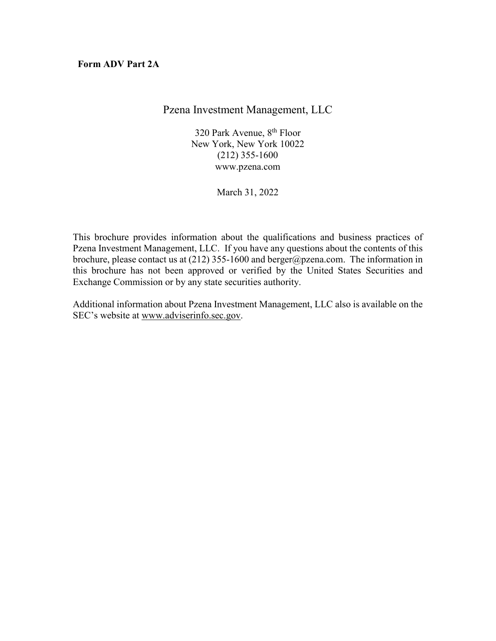**Form ADV Part 2A**

Pzena Investment Management, LLC

320 Park Avenue, 8<sup>th</sup> Floor New York, New York 10022 (212) 355-1600 www.pzena.com

March 31, 2022

This brochure provides information about the qualifications and business practices of Pzena Investment Management, LLC. If you have any questions about the contents of this brochure, please contact us at  $(212)$  355-1600 and berger@pzena.com. The information in this brochure has not been approved or verified by the United States Securities and Exchange Commission or by any state securities authority.

Additional information about Pzena Investment Management, LLC also is available on the SEC's website at www.adviserinfo.sec.gov.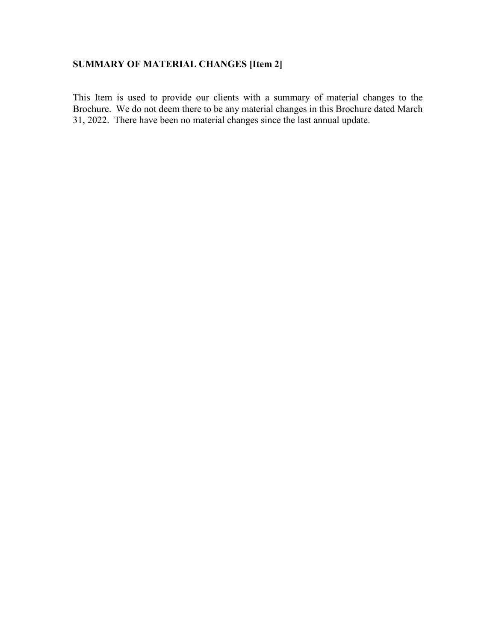# **SUMMARY OF MATERIAL CHANGES [Item 2]**

This Item is used to provide our clients with a summary of material changes to the Brochure. We do not deem there to be any material changes in this Brochure dated March 31, 2022. There have been no material changes since the last annual update.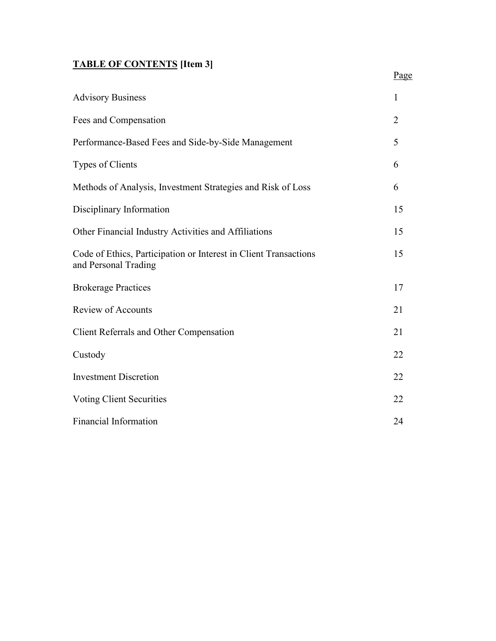# **TABLE OF CONTENTS [Item 3]**

| <b>Advisory Business</b>                                                                 | 1              |
|------------------------------------------------------------------------------------------|----------------|
| Fees and Compensation                                                                    | $\overline{2}$ |
| Performance-Based Fees and Side-by-Side Management                                       | 5              |
| Types of Clients                                                                         | 6              |
| Methods of Analysis, Investment Strategies and Risk of Loss                              | 6              |
| Disciplinary Information                                                                 | 15             |
| Other Financial Industry Activities and Affiliations                                     | 15             |
| Code of Ethics, Participation or Interest in Client Transactions<br>and Personal Trading | 15             |
| <b>Brokerage Practices</b>                                                               | 17             |
| <b>Review of Accounts</b>                                                                | 21             |
| <b>Client Referrals and Other Compensation</b>                                           | 21             |
| Custody                                                                                  | 22             |
| <b>Investment Discretion</b>                                                             | 22             |
| <b>Voting Client Securities</b>                                                          | 22             |
| <b>Financial Information</b>                                                             | 24             |

Page **Page**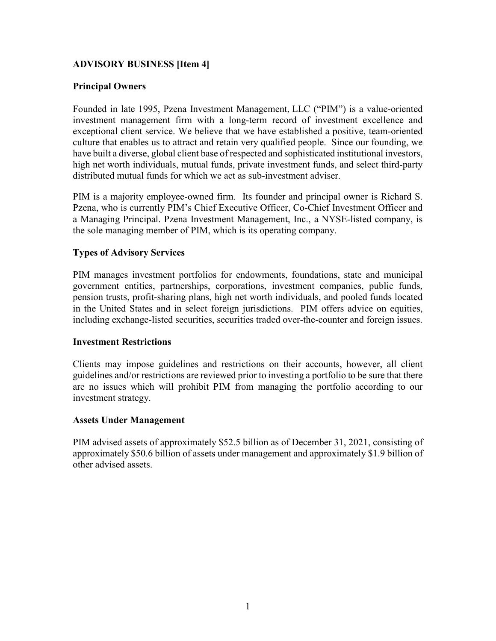# **ADVISORY BUSINESS [Item 4]**

### **Principal Owners**

Founded in late 1995, Pzena Investment Management, LLC ("PIM") is a value-oriented investment management firm with a long-term record of investment excellence and exceptional client service. We believe that we have established a positive, team-oriented culture that enables us to attract and retain very qualified people. Since our founding, we have built a diverse, global client base of respected and sophisticated institutional investors, high net worth individuals, mutual funds, private investment funds, and select third-party distributed mutual funds for which we act as sub-investment adviser.

PIM is a majority employee-owned firm. Its founder and principal owner is Richard S. Pzena, who is currently PIM's Chief Executive Officer, Co-Chief Investment Officer and a Managing Principal. Pzena Investment Management, Inc., a NYSE-listed company, is the sole managing member of PIM, which is its operating company.

### **Types of Advisory Services**

PIM manages investment portfolios for endowments, foundations, state and municipal government entities, partnerships, corporations, investment companies, public funds, pension trusts, profit-sharing plans, high net worth individuals, and pooled funds located in the United States and in select foreign jurisdictions. PIM offers advice on equities, including exchange-listed securities, securities traded over-the-counter and foreign issues.

#### **Investment Restrictions**

Clients may impose guidelines and restrictions on their accounts, however, all client guidelines and/or restrictions are reviewed prior to investing a portfolio to be sure that there are no issues which will prohibit PIM from managing the portfolio according to our investment strategy.

#### **Assets Under Management**

PIM advised assets of approximately \$52.5 billion as of December 31, 2021, consisting of approximately \$50.6 billion of assets under management and approximately \$1.9 billion of other advised assets.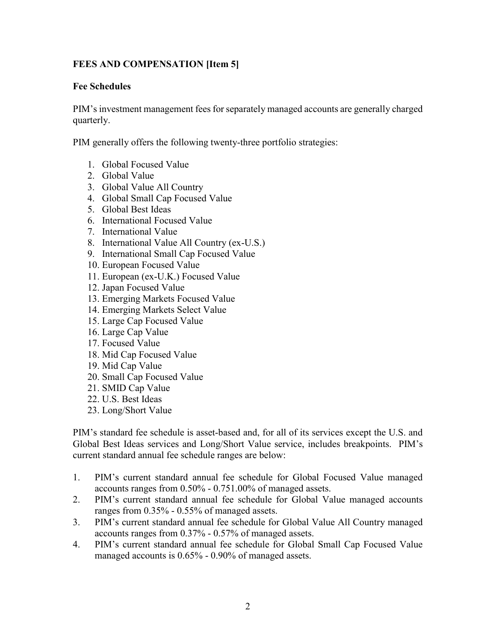# **FEES AND COMPENSATION [Item 5]**

#### **Fee Schedules**

PIM's investment management fees for separately managed accounts are generally charged quarterly.

PIM generally offers the following twenty-three portfolio strategies:

- 1. Global Focused Value
- 2. Global Value
- 3. Global Value All Country
- 4. Global Small Cap Focused Value
- 5. Global Best Ideas
- 6. International Focused Value
- 7. International Value
- 8. International Value All Country (ex-U.S.)
- 9. International Small Cap Focused Value
- 10. European Focused Value
- 11. European (ex-U.K.) Focused Value
- 12. Japan Focused Value
- 13. Emerging Markets Focused Value
- 14. Emerging Markets Select Value
- 15. Large Cap Focused Value
- 16. Large Cap Value
- 17. Focused Value
- 18. Mid Cap Focused Value
- 19. Mid Cap Value
- 20. Small Cap Focused Value
- 21. SMID Cap Value
- 22. U.S. Best Ideas
- 23. Long/Short Value

PIM's standard fee schedule is asset-based and, for all of its services except the U.S. and Global Best Ideas services and Long/Short Value service, includes breakpoints. PIM's current standard annual fee schedule ranges are below:

- 1. PIM's current standard annual fee schedule for Global Focused Value managed accounts ranges from 0.50% - 0.751.00% of managed assets.
- 2. PIM's current standard annual fee schedule for Global Value managed accounts ranges from 0.35% - 0.55% of managed assets.
- 3. PIM's current standard annual fee schedule for Global Value All Country managed accounts ranges from 0.37% - 0.57% of managed assets.
- 4. PIM's current standard annual fee schedule for Global Small Cap Focused Value managed accounts is 0.65% - 0.90% of managed assets.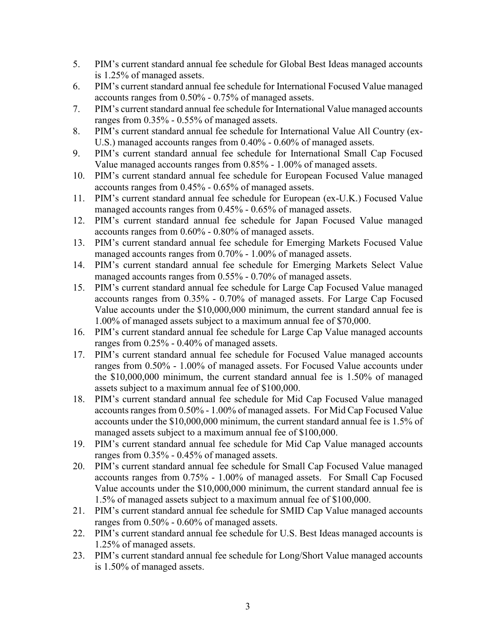- 5. PIM's current standard annual fee schedule for Global Best Ideas managed accounts is 1.25% of managed assets.
- 6. PIM's current standard annual fee schedule for International Focused Value managed accounts ranges from 0.50% - 0.75% of managed assets.
- 7. PIM's current standard annual fee schedule for International Value managed accounts ranges from 0.35% - 0.55% of managed assets.
- 8. PIM's current standard annual fee schedule for International Value All Country (ex-U.S.) managed accounts ranges from 0.40% - 0.60% of managed assets.
- 9. PIM's current standard annual fee schedule for International Small Cap Focused Value managed accounts ranges from 0.85% - 1.00% of managed assets.
- 10. PIM's current standard annual fee schedule for European Focused Value managed accounts ranges from 0.45% - 0.65% of managed assets.
- 11. PIM's current standard annual fee schedule for European (ex-U.K.) Focused Value managed accounts ranges from 0.45% - 0.65% of managed assets.
- 12. PIM's current standard annual fee schedule for Japan Focused Value managed accounts ranges from 0.60% - 0.80% of managed assets.
- 13. PIM's current standard annual fee schedule for Emerging Markets Focused Value managed accounts ranges from 0.70% - 1.00% of managed assets.
- 14. PIM's current standard annual fee schedule for Emerging Markets Select Value managed accounts ranges from 0.55% - 0.70% of managed assets.
- 15. PIM's current standard annual fee schedule for Large Cap Focused Value managed accounts ranges from 0.35% - 0.70% of managed assets. For Large Cap Focused Value accounts under the \$10,000,000 minimum, the current standard annual fee is 1.00% of managed assets subject to a maximum annual fee of \$70,000.
- 16. PIM's current standard annual fee schedule for Large Cap Value managed accounts ranges from 0.25% - 0.40% of managed assets.
- 17. PIM's current standard annual fee schedule for Focused Value managed accounts ranges from 0.50% - 1.00% of managed assets. For Focused Value accounts under the \$10,000,000 minimum, the current standard annual fee is 1.50% of managed assets subject to a maximum annual fee of \$100,000.
- 18. PIM's current standard annual fee schedule for Mid Cap Focused Value managed accounts ranges from 0.50% - 1.00% of managed assets. For Mid Cap Focused Value accounts under the \$10,000,000 minimum, the current standard annual fee is 1.5% of managed assets subject to a maximum annual fee of \$100,000.
- 19. PIM's current standard annual fee schedule for Mid Cap Value managed accounts ranges from 0.35% - 0.45% of managed assets.
- 20. PIM's current standard annual fee schedule for Small Cap Focused Value managed accounts ranges from 0.75% - 1.00% of managed assets. For Small Cap Focused Value accounts under the \$10,000,000 minimum, the current standard annual fee is 1.5% of managed assets subject to a maximum annual fee of \$100,000.
- 21. PIM's current standard annual fee schedule for SMID Cap Value managed accounts ranges from 0.50% - 0.60% of managed assets.
- 22. PIM's current standard annual fee schedule for U.S. Best Ideas managed accounts is 1.25% of managed assets.
- 23. PIM's current standard annual fee schedule for Long/Short Value managed accounts is 1.50% of managed assets.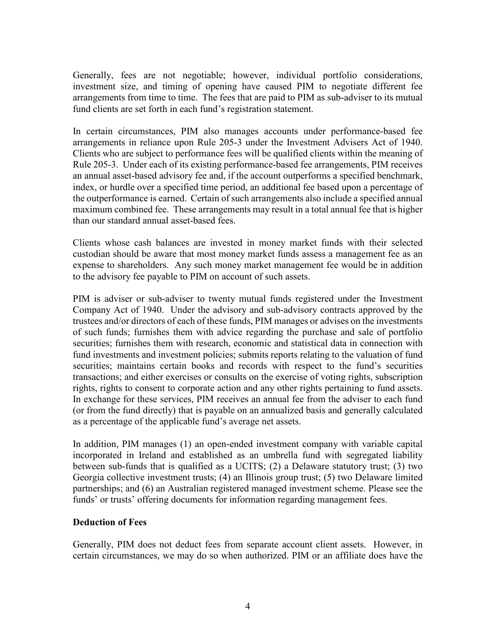Generally, fees are not negotiable; however, individual portfolio considerations, investment size, and timing of opening have caused PIM to negotiate different fee arrangements from time to time. The fees that are paid to PIM as sub-adviser to its mutual fund clients are set forth in each fund's registration statement.

In certain circumstances, PIM also manages accounts under performance-based fee arrangements in reliance upon Rule 205-3 under the Investment Advisers Act of 1940. Clients who are subject to performance fees will be qualified clients within the meaning of Rule 205-3. Under each of its existing performance-based fee arrangements, PIM receives an annual asset-based advisory fee and, if the account outperforms a specified benchmark, index, or hurdle over a specified time period, an additional fee based upon a percentage of the outperformance is earned. Certain of such arrangements also include a specified annual maximum combined fee. These arrangements may result in a total annual fee that is higher than our standard annual asset-based fees.

Clients whose cash balances are invested in money market funds with their selected custodian should be aware that most money market funds assess a management fee as an expense to shareholders. Any such money market management fee would be in addition to the advisory fee payable to PIM on account of such assets.

PIM is adviser or sub-adviser to twenty mutual funds registered under the Investment Company Act of 1940. Under the advisory and sub-advisory contracts approved by the trustees and/or directors of each of these funds, PIM manages or advises on the investments of such funds; furnishes them with advice regarding the purchase and sale of portfolio securities; furnishes them with research, economic and statistical data in connection with fund investments and investment policies; submits reports relating to the valuation of fund securities; maintains certain books and records with respect to the fund's securities transactions; and either exercises or consults on the exercise of voting rights, subscription rights, rights to consent to corporate action and any other rights pertaining to fund assets. In exchange for these services, PIM receives an annual fee from the adviser to each fund (or from the fund directly) that is payable on an annualized basis and generally calculated as a percentage of the applicable fund's average net assets.

In addition, PIM manages (1) an open-ended investment company with variable capital incorporated in Ireland and established as an umbrella fund with segregated liability between sub-funds that is qualified as a UCITS; (2) a Delaware statutory trust; (3) two Georgia collective investment trusts; (4) an Illinois group trust; (5) two Delaware limited partnerships; and (6) an Australian registered managed investment scheme. Please see the funds' or trusts' offering documents for information regarding management fees.

### **Deduction of Fees**

Generally, PIM does not deduct fees from separate account client assets. However, in certain circumstances, we may do so when authorized. PIM or an affiliate does have the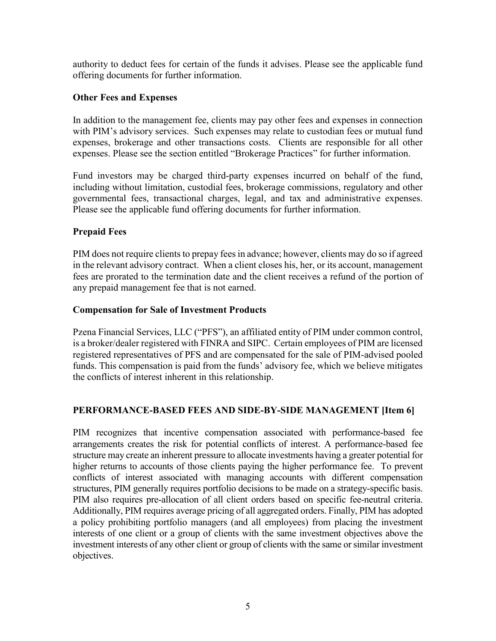authority to deduct fees for certain of the funds it advises. Please see the applicable fund offering documents for further information.

### **Other Fees and Expenses**

In addition to the management fee, clients may pay other fees and expenses in connection with PIM's advisory services. Such expenses may relate to custodian fees or mutual fund expenses, brokerage and other transactions costs. Clients are responsible for all other expenses. Please see the section entitled "Brokerage Practices" for further information.

Fund investors may be charged third-party expenses incurred on behalf of the fund, including without limitation, custodial fees, brokerage commissions, regulatory and other governmental fees, transactional charges, legal, and tax and administrative expenses. Please see the applicable fund offering documents for further information.

### **Prepaid Fees**

PIM does not require clients to prepay fees in advance; however, clients may do so if agreed in the relevant advisory contract. When a client closes his, her, or its account, management fees are prorated to the termination date and the client receives a refund of the portion of any prepaid management fee that is not earned.

### **Compensation for Sale of Investment Products**

Pzena Financial Services, LLC ("PFS"), an affiliated entity of PIM under common control, is a broker/dealer registered with FINRA and SIPC. Certain employees of PIM are licensed registered representatives of PFS and are compensated for the sale of PIM-advised pooled funds. This compensation is paid from the funds' advisory fee, which we believe mitigates the conflicts of interest inherent in this relationship.

### **PERFORMANCE-BASED FEES AND SIDE-BY-SIDE MANAGEMENT [Item 6]**

PIM recognizes that incentive compensation associated with performance-based fee arrangements creates the risk for potential conflicts of interest. A performance-based fee structure may create an inherent pressure to allocate investments having a greater potential for higher returns to accounts of those clients paying the higher performance fee. To prevent conflicts of interest associated with managing accounts with different compensation structures, PIM generally requires portfolio decisions to be made on a strategy-specific basis. PIM also requires pre-allocation of all client orders based on specific fee-neutral criteria. Additionally, PIM requires average pricing of all aggregated orders. Finally, PIM has adopted a policy prohibiting portfolio managers (and all employees) from placing the investment interests of one client or a group of clients with the same investment objectives above the investment interests of any other client or group of clients with the same or similar investment objectives.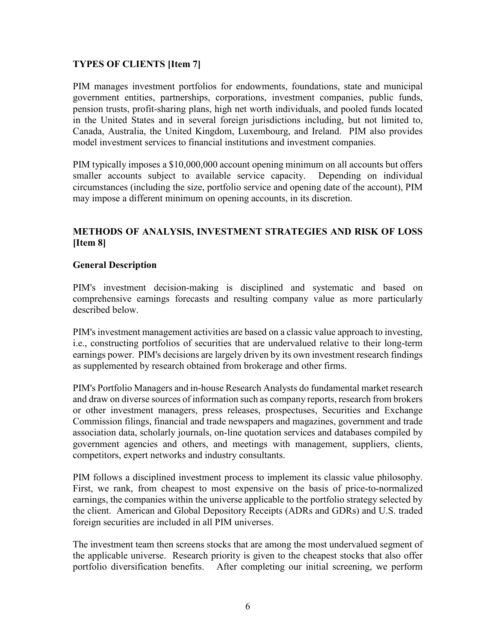### **TYPES OF CLIENTS [Item 7]**

PIM manages investment portfolios for endowments, foundations, state and municipal government entities, partnerships, corporations, investment companies, public funds, pension trusts, profit-sharing plans, high net worth individuals, and pooled funds located in the United States and in several foreign jurisdictions including, but not limited to, Canada, Australia, the United Kingdom, Luxembourg, and Ireland. PIM also provides model investment services to financial institutions and investment companies.

PIM typically imposes a \$10,000,000 account opening minimum on all accounts but offers smaller accounts subject to available service capacity. Depending on individual circumstances (including the size, portfolio service and opening date of the account), PIM may impose a different minimum on opening accounts, in its discretion.

### **METHODS OF ANALYSIS, INVESTMENT STRATEGIES AND RISK OF LOSS [Item 8]**

#### **General Description**

PIM's investment decision-making is disciplined and systematic and based on comprehensive earnings forecasts and resulting company value as more particularly described below.

PIM's investment management activities are based on a classic value approach to investing, i.e., constructing portfolios of securities that are undervalued relative to their long-term earnings power. PIM's decisions are largely driven by its own investment research findings as supplemented by research obtained from brokerage and other firms.

PIM's Portfolio Managers and in-house Research Analysts do fundamental market research and draw on diverse sources of information such as company reports, research from brokers or other investment managers, press releases, prospectuses, Securities and Exchange Commission filings, financial and trade newspapers and magazines, government and trade association data, scholarly journals, on-line quotation services and databases compiled by government agencies and others, and meetings with management, suppliers, clients, competitors, expert networks and industry consultants.

PIM follows a disciplined investment process to implement its classic value philosophy. First, we rank, from cheapest to most expensive on the basis of price-to-normalized earnings, the companies within the universe applicable to the portfolio strategy selected by the client. American and Global Depository Receipts (ADRs and GDRs) and U.S. traded foreign securities are included in all PIM universes.

The investment team then screens stocks that are among the most undervalued segment of the applicable universe. Research priority is given to the cheapest stocks that also offer portfolio diversification benefits. After completing our initial screening, we perform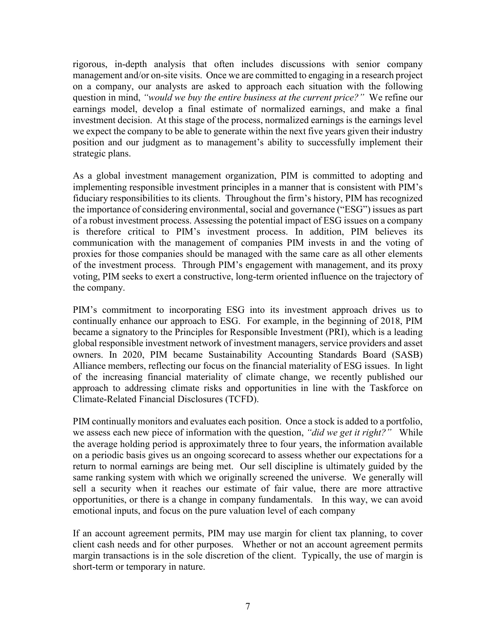rigorous, in-depth analysis that often includes discussions with senior company management and/or on-site visits. Once we are committed to engaging in a research project on a company, our analysts are asked to approach each situation with the following question in mind, *"would we buy the entire business at the current price?"* We refine our earnings model, develop a final estimate of normalized earnings, and make a final investment decision. At this stage of the process, normalized earnings is the earnings level we expect the company to be able to generate within the next five years given their industry position and our judgment as to management's ability to successfully implement their strategic plans.

As a global investment management organization, PIM is committed to adopting and implementing responsible investment principles in a manner that is consistent with PIM's fiduciary responsibilities to its clients. Throughout the firm's history, PIM has recognized the importance of considering environmental, social and governance ("ESG") issues as part of a robust investment process. Assessing the potential impact of ESG issues on a company is therefore critical to PIM's investment process. In addition, PIM believes its communication with the management of companies PIM invests in and the voting of proxies for those companies should be managed with the same care as all other elements of the investment process. Through PIM's engagement with management, and its proxy voting, PIM seeks to exert a constructive, long-term oriented influence on the trajectory of the company.

PIM's commitment to incorporating ESG into its investment approach drives us to continually enhance our approach to ESG. For example, in the beginning of 2018, PIM became a signatory to the Principles for Responsible Investment (PRI), which is a leading global responsible investment network of investment managers, service providers and asset owners. In 2020, PIM became Sustainability Accounting Standards Board (SASB) Alliance members, reflecting our focus on the financial materiality of ESG issues. In light of the increasing financial materiality of climate change, we recently published our approach to addressing climate risks and opportunities in line with the Taskforce on Climate-Related Financial Disclosures (TCFD).

PIM continually monitors and evaluates each position. Once a stock is added to a portfolio, we assess each new piece of information with the question, *"did we get it right?"* While the average holding period is approximately three to four years, the information available on a periodic basis gives us an ongoing scorecard to assess whether our expectations for a return to normal earnings are being met. Our sell discipline is ultimately guided by the same ranking system with which we originally screened the universe. We generally will sell a security when it reaches our estimate of fair value, there are more attractive opportunities, or there is a change in company fundamentals. In this way, we can avoid emotional inputs, and focus on the pure valuation level of each company

If an account agreement permits, PIM may use margin for client tax planning, to cover client cash needs and for other purposes. Whether or not an account agreement permits margin transactions is in the sole discretion of the client. Typically, the use of margin is short-term or temporary in nature.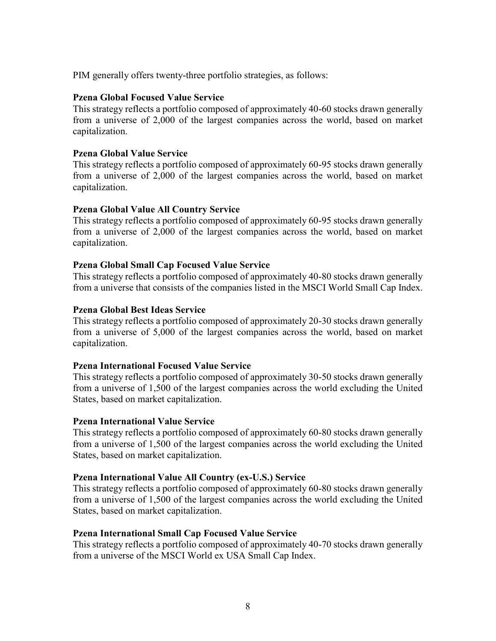PIM generally offers twenty-three portfolio strategies, as follows:

#### **Pzena Global Focused Value Service**

This strategy reflects a portfolio composed of approximately 40-60 stocks drawn generally from a universe of 2,000 of the largest companies across the world, based on market capitalization.

#### **Pzena Global Value Service**

This strategy reflects a portfolio composed of approximately 60-95 stocks drawn generally from a universe of 2,000 of the largest companies across the world, based on market capitalization.

#### **Pzena Global Value All Country Service**

This strategy reflects a portfolio composed of approximately 60-95 stocks drawn generally from a universe of 2,000 of the largest companies across the world, based on market capitalization.

#### **Pzena Global Small Cap Focused Value Service**

This strategy reflects a portfolio composed of approximately 40-80 stocks drawn generally from a universe that consists of the companies listed in the MSCI World Small Cap Index.

#### **Pzena Global Best Ideas Service**

This strategy reflects a portfolio composed of approximately 20-30 stocks drawn generally from a universe of 5,000 of the largest companies across the world, based on market capitalization.

#### **Pzena International Focused Value Service**

This strategy reflects a portfolio composed of approximately 30-50 stocks drawn generally from a universe of 1,500 of the largest companies across the world excluding the United States, based on market capitalization.

#### **Pzena International Value Service**

This strategy reflects a portfolio composed of approximately 60-80 stocks drawn generally from a universe of 1,500 of the largest companies across the world excluding the United States, based on market capitalization.

#### **Pzena International Value All Country (ex-U.S.) Service**

This strategy reflects a portfolio composed of approximately 60-80 stocks drawn generally from a universe of 1,500 of the largest companies across the world excluding the United States, based on market capitalization.

#### **Pzena International Small Cap Focused Value Service**

This strategy reflects a portfolio composed of approximately 40-70 stocks drawn generally from a universe of the MSCI World ex USA Small Cap Index.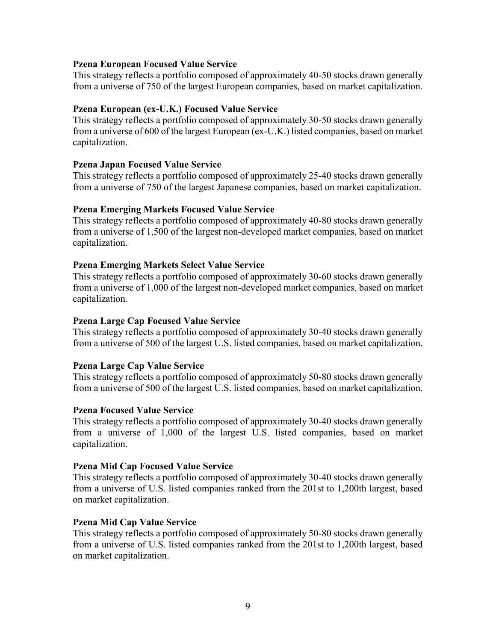#### **Pzena European Focused Value Service**

This strategy reflects a portfolio composed of approximately 40-50 stocks drawn generally from a universe of 750 of the largest European companies, based on market capitalization.

### **Pzena European (ex-U.K.) Focused Value Service**

This strategy reflects a portfolio composed of approximately 30-50 stocks drawn generally from a universe of 600 of the largest European (ex-U.K.) listed companies, based on market capitalization.

### **Pzena Japan Focused Value Service**

This strategy reflects a portfolio composed of approximately 25-40 stocks drawn generally from a universe of 750 of the largest Japanese companies, based on market capitalization.

### **Pzena Emerging Markets Focused Value Service**

This strategy reflects a portfolio composed of approximately 40-80 stocks drawn generally from a universe of 1,500 of the largest non-developed market companies, based on market capitalization.

### **Pzena Emerging Markets Select Value Service**

This strategy reflects a portfolio composed of approximately 30-60 stocks drawn generally from a universe of 1,000 of the largest non-developed market companies, based on market capitalization.

#### **Pzena Large Cap Focused Value Service**

This strategy reflects a portfolio composed of approximately 30-40 stocks drawn generally from a universe of 500 of the largest U.S. listed companies, based on market capitalization.

#### **Pzena Large Cap Value Service**

This strategy reflects a portfolio composed of approximately 50-80 stocks drawn generally from a universe of 500 of the largest U.S. listed companies, based on market capitalization.

#### **Pzena Focused Value Service**

This strategy reflects a portfolio composed of approximately 30-40 stocks drawn generally from a universe of 1,000 of the largest U.S. listed companies, based on market capitalization.

#### **Pzena Mid Cap Focused Value Service**

This strategy reflects a portfolio composed of approximately 30-40 stocks drawn generally from a universe of U.S. listed companies ranked from the 201st to 1,200th largest, based on market capitalization.

#### **Pzena Mid Cap Value Service**

This strategy reflects a portfolio composed of approximately 50-80 stocks drawn generally from a universe of U.S. listed companies ranked from the 201st to 1,200th largest, based on market capitalization.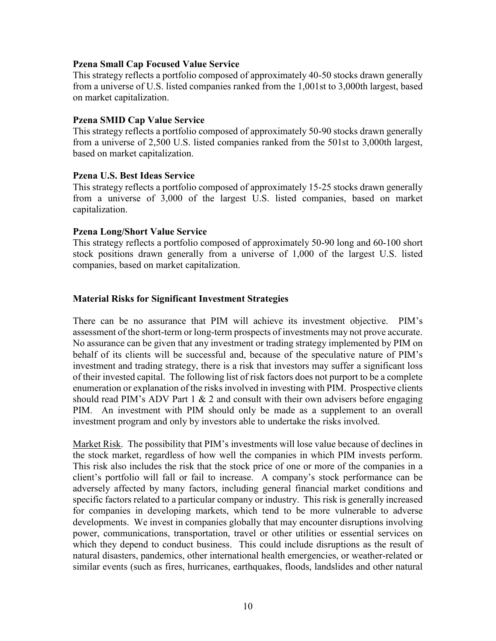#### **Pzena Small Cap Focused Value Service**

This strategy reflects a portfolio composed of approximately 40-50 stocks drawn generally from a universe of U.S. listed companies ranked from the 1,001st to 3,000th largest, based on market capitalization.

#### **Pzena SMID Cap Value Service**

This strategy reflects a portfolio composed of approximately 50-90 stocks drawn generally from a universe of 2,500 U.S. listed companies ranked from the 501st to 3,000th largest, based on market capitalization.

#### **Pzena U.S. Best Ideas Service**

This strategy reflects a portfolio composed of approximately 15-25 stocks drawn generally from a universe of 3,000 of the largest U.S. listed companies, based on market capitalization.

#### **Pzena Long/Short Value Service**

This strategy reflects a portfolio composed of approximately 50-90 long and 60-100 short stock positions drawn generally from a universe of 1,000 of the largest U.S. listed companies, based on market capitalization.

#### **Material Risks for Significant Investment Strategies**

There can be no assurance that PIM will achieve its investment objective. PIM's assessment of the short-term or long-term prospects of investments may not prove accurate. No assurance can be given that any investment or trading strategy implemented by PIM on behalf of its clients will be successful and, because of the speculative nature of PIM's investment and trading strategy, there is a risk that investors may suffer a significant loss of their invested capital. The following list of risk factors does not purport to be a complete enumeration or explanation of the risks involved in investing with PIM. Prospective clients should read PIM's ADV Part 1  $\&$  2 and consult with their own advisers before engaging PIM. An investment with PIM should only be made as a supplement to an overall investment program and only by investors able to undertake the risks involved.

Market Risk. The possibility that PIM's investments will lose value because of declines in the stock market, regardless of how well the companies in which PIM invests perform. This risk also includes the risk that the stock price of one or more of the companies in a client's portfolio will fall or fail to increase. A company's stock performance can be adversely affected by many factors, including general financial market conditions and specific factors related to a particular company or industry. This risk is generally increased for companies in developing markets, which tend to be more vulnerable to adverse developments. We invest in companies globally that may encounter disruptions involving power, communications, transportation, travel or other utilities or essential services on which they depend to conduct business. This could include disruptions as the result of natural disasters, pandemics, other international health emergencies, or weather-related or similar events (such as fires, hurricanes, earthquakes, floods, landslides and other natural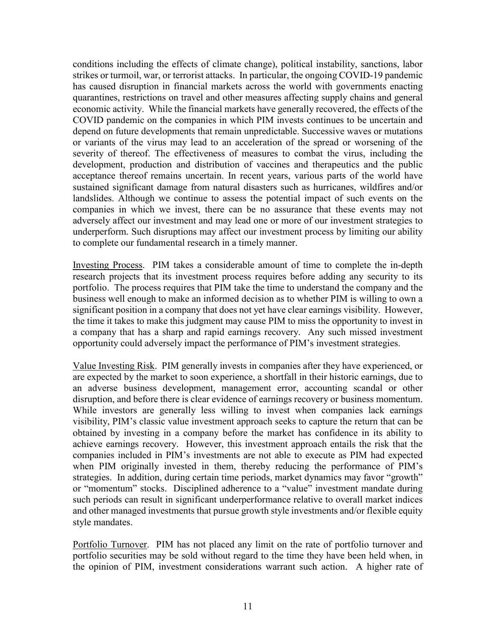conditions including the effects of climate change), political instability, sanctions, labor strikes or turmoil, war, or terrorist attacks. In particular, the ongoing COVID-19 pandemic has caused disruption in financial markets across the world with governments enacting quarantines, restrictions on travel and other measures affecting supply chains and general economic activity. While the financial markets have generally recovered, the effects of the COVID pandemic on the companies in which PIM invests continues to be uncertain and depend on future developments that remain unpredictable. Successive waves or mutations or variants of the virus may lead to an acceleration of the spread or worsening of the severity of thereof. The effectiveness of measures to combat the virus, including the development, production and distribution of vaccines and therapeutics and the public acceptance thereof remains uncertain. In recent years, various parts of the world have sustained significant damage from natural disasters such as hurricanes, wildfires and/or landslides. Although we continue to assess the potential impact of such events on the companies in which we invest, there can be no assurance that these events may not adversely affect our investment and may lead one or more of our investment strategies to underperform. Such disruptions may affect our investment process by limiting our ability to complete our fundamental research in a timely manner.

Investing Process. PIM takes a considerable amount of time to complete the in-depth research projects that its investment process requires before adding any security to its portfolio. The process requires that PIM take the time to understand the company and the business well enough to make an informed decision as to whether PIM is willing to own a significant position in a company that does not yet have clear earnings visibility. However, the time it takes to make this judgment may cause PIM to miss the opportunity to invest in a company that has a sharp and rapid earnings recovery. Any such missed investment opportunity could adversely impact the performance of PIM's investment strategies.

Value Investing Risk. PIM generally invests in companies after they have experienced, or are expected by the market to soon experience, a shortfall in their historic earnings, due to an adverse business development, management error, accounting scandal or other disruption, and before there is clear evidence of earnings recovery or business momentum. While investors are generally less willing to invest when companies lack earnings visibility, PIM's classic value investment approach seeks to capture the return that can be obtained by investing in a company before the market has confidence in its ability to achieve earnings recovery. However, this investment approach entails the risk that the companies included in PIM's investments are not able to execute as PIM had expected when PIM originally invested in them, thereby reducing the performance of PIM's strategies. In addition, during certain time periods, market dynamics may favor "growth" or "momentum" stocks. Disciplined adherence to a "value" investment mandate during such periods can result in significant underperformance relative to overall market indices and other managed investments that pursue growth style investments and/or flexible equity style mandates.

Portfolio Turnover. PIM has not placed any limit on the rate of portfolio turnover and portfolio securities may be sold without regard to the time they have been held when, in the opinion of PIM, investment considerations warrant such action. A higher rate of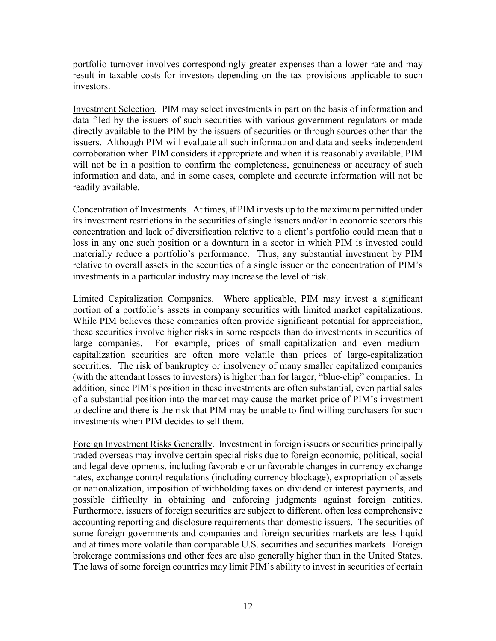portfolio turnover involves correspondingly greater expenses than a lower rate and may result in taxable costs for investors depending on the tax provisions applicable to such investors.

Investment Selection. PIM may select investments in part on the basis of information and data filed by the issuers of such securities with various government regulators or made directly available to the PIM by the issuers of securities or through sources other than the issuers. Although PIM will evaluate all such information and data and seeks independent corroboration when PIM considers it appropriate and when it is reasonably available, PIM will not be in a position to confirm the completeness, genuineness or accuracy of such information and data, and in some cases, complete and accurate information will not be readily available.

Concentration of Investments. At times, if PIM invests up to the maximum permitted under its investment restrictions in the securities of single issuers and/or in economic sectors this concentration and lack of diversification relative to a client's portfolio could mean that a loss in any one such position or a downturn in a sector in which PIM is invested could materially reduce a portfolio's performance. Thus, any substantial investment by PIM relative to overall assets in the securities of a single issuer or the concentration of PIM's investments in a particular industry may increase the level of risk.

Limited Capitalization Companies. Where applicable, PIM may invest a significant portion of a portfolio's assets in company securities with limited market capitalizations. While PIM believes these companies often provide significant potential for appreciation, these securities involve higher risks in some respects than do investments in securities of large companies. For example, prices of small-capitalization and even mediumcapitalization securities are often more volatile than prices of large-capitalization securities. The risk of bankruptcy or insolvency of many smaller capitalized companies (with the attendant losses to investors) is higher than for larger, "blue-chip" companies. In addition, since PIM's position in these investments are often substantial, even partial sales of a substantial position into the market may cause the market price of PIM's investment to decline and there is the risk that PIM may be unable to find willing purchasers for such investments when PIM decides to sell them.

Foreign Investment Risks Generally. Investment in foreign issuers or securities principally traded overseas may involve certain special risks due to foreign economic, political, social and legal developments, including favorable or unfavorable changes in currency exchange rates, exchange control regulations (including currency blockage), expropriation of assets or nationalization, imposition of withholding taxes on dividend or interest payments, and possible difficulty in obtaining and enforcing judgments against foreign entities. Furthermore, issuers of foreign securities are subject to different, often less comprehensive accounting reporting and disclosure requirements than domestic issuers. The securities of some foreign governments and companies and foreign securities markets are less liquid and at times more volatile than comparable U.S. securities and securities markets. Foreign brokerage commissions and other fees are also generally higher than in the United States. The laws of some foreign countries may limit PIM's ability to invest in securities of certain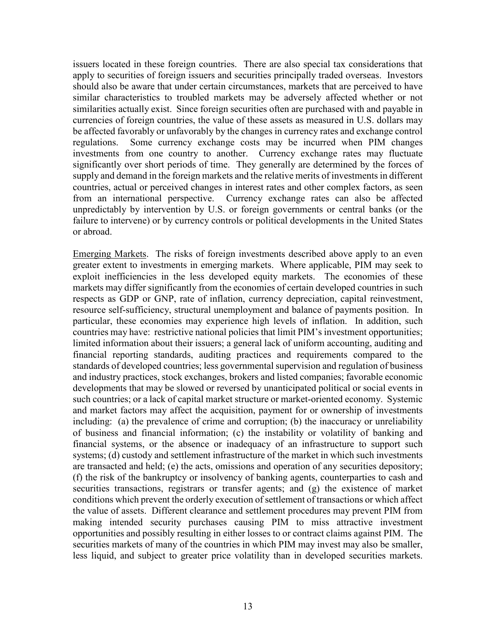issuers located in these foreign countries. There are also special tax considerations that apply to securities of foreign issuers and securities principally traded overseas. Investors should also be aware that under certain circumstances, markets that are perceived to have similar characteristics to troubled markets may be adversely affected whether or not similarities actually exist. Since foreign securities often are purchased with and payable in currencies of foreign countries, the value of these assets as measured in U.S. dollars may be affected favorably or unfavorably by the changes in currency rates and exchange control regulations. Some currency exchange costs may be incurred when PIM changes investments from one country to another. Currency exchange rates may fluctuate significantly over short periods of time. They generally are determined by the forces of supply and demand in the foreign markets and the relative merits of investments in different countries, actual or perceived changes in interest rates and other complex factors, as seen from an international perspective. Currency exchange rates can also be affected unpredictably by intervention by U.S. or foreign governments or central banks (or the failure to intervene) or by currency controls or political developments in the United States or abroad.

Emerging Markets. The risks of foreign investments described above apply to an even greater extent to investments in emerging markets. Where applicable, PIM may seek to exploit inefficiencies in the less developed equity markets. The economies of these markets may differ significantly from the economies of certain developed countries in such respects as GDP or GNP, rate of inflation, currency depreciation, capital reinvestment, resource self-sufficiency, structural unemployment and balance of payments position. In particular, these economies may experience high levels of inflation. In addition, such countries may have: restrictive national policies that limit PIM's investment opportunities; limited information about their issuers; a general lack of uniform accounting, auditing and financial reporting standards, auditing practices and requirements compared to the standards of developed countries; less governmental supervision and regulation of business and industry practices, stock exchanges, brokers and listed companies; favorable economic developments that may be slowed or reversed by unanticipated political or social events in such countries; or a lack of capital market structure or market-oriented economy. Systemic and market factors may affect the acquisition, payment for or ownership of investments including: (a) the prevalence of crime and corruption; (b) the inaccuracy or unreliability of business and financial information; (c) the instability or volatility of banking and financial systems, or the absence or inadequacy of an infrastructure to support such systems; (d) custody and settlement infrastructure of the market in which such investments are transacted and held; (e) the acts, omissions and operation of any securities depository; (f) the risk of the bankruptcy or insolvency of banking agents, counterparties to cash and securities transactions, registrars or transfer agents; and (g) the existence of market conditions which prevent the orderly execution of settlement of transactions or which affect the value of assets. Different clearance and settlement procedures may prevent PIM from making intended security purchases causing PIM to miss attractive investment opportunities and possibly resulting in either losses to or contract claims against PIM. The securities markets of many of the countries in which PIM may invest may also be smaller, less liquid, and subject to greater price volatility than in developed securities markets.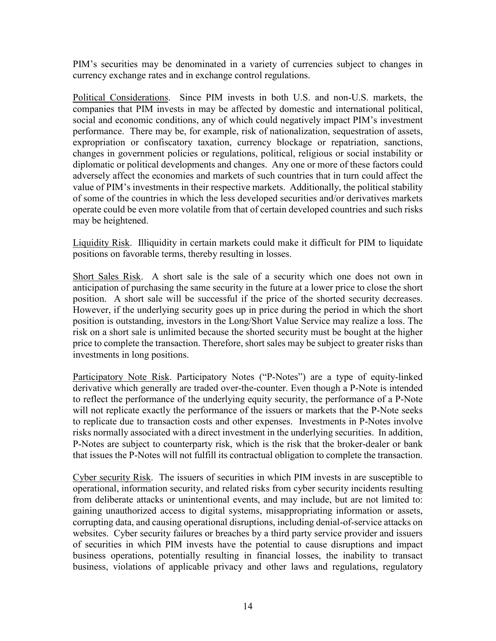PIM's securities may be denominated in a variety of currencies subject to changes in currency exchange rates and in exchange control regulations.

Political Considerations. Since PIM invests in both U.S. and non-U.S. markets, the companies that PIM invests in may be affected by domestic and international political, social and economic conditions, any of which could negatively impact PIM's investment performance. There may be, for example, risk of nationalization, sequestration of assets, expropriation or confiscatory taxation, currency blockage or repatriation, sanctions, changes in government policies or regulations, political, religious or social instability or diplomatic or political developments and changes. Any one or more of these factors could adversely affect the economies and markets of such countries that in turn could affect the value of PIM's investments in their respective markets. Additionally, the political stability of some of the countries in which the less developed securities and/or derivatives markets operate could be even more volatile from that of certain developed countries and such risks may be heightened.

Liquidity Risk. Illiquidity in certain markets could make it difficult for PIM to liquidate positions on favorable terms, thereby resulting in losses.

Short Sales Risk. A short sale is the sale of a security which one does not own in anticipation of purchasing the same security in the future at a lower price to close the short position. A short sale will be successful if the price of the shorted security decreases. However, if the underlying security goes up in price during the period in which the short position is outstanding, investors in the Long/Short Value Service may realize a loss. The risk on a short sale is unlimited because the shorted security must be bought at the higher price to complete the transaction. Therefore, short sales may be subject to greater risks than investments in long positions.

Participatory Note Risk. Participatory Notes ("P-Notes") are a type of equity-linked derivative which generally are traded over-the-counter. Even though a P-Note is intended to reflect the performance of the underlying equity security, the performance of a P-Note will not replicate exactly the performance of the issuers or markets that the P-Note seeks to replicate due to transaction costs and other expenses. Investments in P-Notes involve risks normally associated with a direct investment in the underlying securities. In addition, P-Notes are subject to counterparty risk, which is the risk that the broker-dealer or bank that issues the P-Notes will not fulfill its contractual obligation to complete the transaction.

Cyber security Risk. The issuers of securities in which PIM invests in are susceptible to operational, information security, and related risks from cyber security incidents resulting from deliberate attacks or unintentional events, and may include, but are not limited to: gaining unauthorized access to digital systems, misappropriating information or assets, corrupting data, and causing operational disruptions, including denial-of-service attacks on websites. Cyber security failures or breaches by a third party service provider and issuers of securities in which PIM invests have the potential to cause disruptions and impact business operations, potentially resulting in financial losses, the inability to transact business, violations of applicable privacy and other laws and regulations, regulatory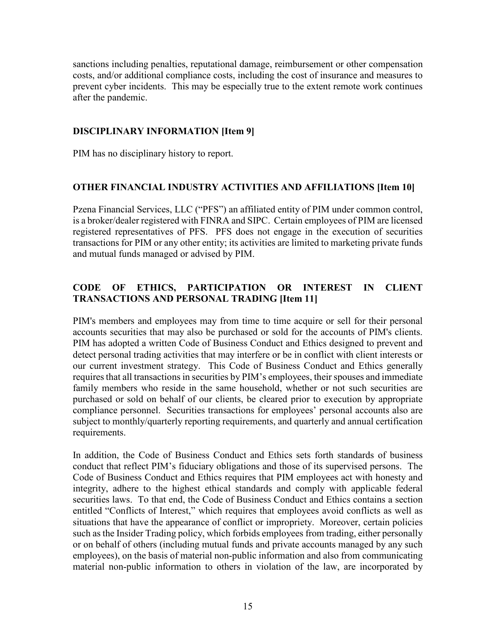sanctions including penalties, reputational damage, reimbursement or other compensation costs, and/or additional compliance costs, including the cost of insurance and measures to prevent cyber incidents. This may be especially true to the extent remote work continues after the pandemic.

### **DISCIPLINARY INFORMATION [Item 9]**

PIM has no disciplinary history to report.

### **OTHER FINANCIAL INDUSTRY ACTIVITIES AND AFFILIATIONS [Item 10]**

Pzena Financial Services, LLC ("PFS") an affiliated entity of PIM under common control, is a broker/dealer registered with FINRA and SIPC. Certain employees of PIM are licensed registered representatives of PFS. PFS does not engage in the execution of securities transactions for PIM or any other entity; its activities are limited to marketing private funds and mutual funds managed or advised by PIM.

# **CODE OF ETHICS, PARTICIPATION OR INTEREST IN CLIENT TRANSACTIONS AND PERSONAL TRADING [Item 11]**

PIM's members and employees may from time to time acquire or sell for their personal accounts securities that may also be purchased or sold for the accounts of PIM's clients. PIM has adopted a written Code of Business Conduct and Ethics designed to prevent and detect personal trading activities that may interfere or be in conflict with client interests or our current investment strategy. This Code of Business Conduct and Ethics generally requires that all transactions in securities by PIM's employees, their spouses and immediate family members who reside in the same household, whether or not such securities are purchased or sold on behalf of our clients, be cleared prior to execution by appropriate compliance personnel. Securities transactions for employees' personal accounts also are subject to monthly/quarterly reporting requirements, and quarterly and annual certification requirements.

In addition, the Code of Business Conduct and Ethics sets forth standards of business conduct that reflect PIM's fiduciary obligations and those of its supervised persons. The Code of Business Conduct and Ethics requires that PIM employees act with honesty and integrity, adhere to the highest ethical standards and comply with applicable federal securities laws. To that end, the Code of Business Conduct and Ethics contains a section entitled "Conflicts of Interest," which requires that employees avoid conflicts as well as situations that have the appearance of conflict or impropriety. Moreover, certain policies such as the Insider Trading policy, which forbids employees from trading, either personally or on behalf of others (including mutual funds and private accounts managed by any such employees), on the basis of material non-public information and also from communicating material non-public information to others in violation of the law, are incorporated by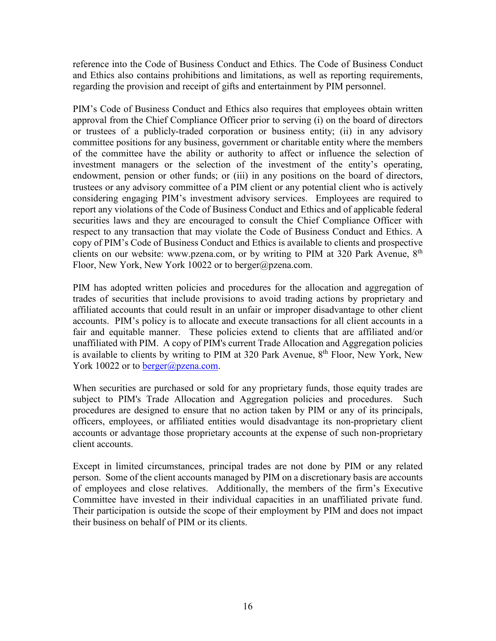reference into the Code of Business Conduct and Ethics. The Code of Business Conduct and Ethics also contains prohibitions and limitations, as well as reporting requirements, regarding the provision and receipt of gifts and entertainment by PIM personnel.

PIM's Code of Business Conduct and Ethics also requires that employees obtain written approval from the Chief Compliance Officer prior to serving (i) on the board of directors or trustees of a publicly-traded corporation or business entity; (ii) in any advisory committee positions for any business, government or charitable entity where the members of the committee have the ability or authority to affect or influence the selection of investment managers or the selection of the investment of the entity's operating, endowment, pension or other funds; or (iii) in any positions on the board of directors, trustees or any advisory committee of a PIM client or any potential client who is actively considering engaging PIM's investment advisory services. Employees are required to report any violations of the Code of Business Conduct and Ethics and of applicable federal securities laws and they are encouraged to consult the Chief Compliance Officer with respect to any transaction that may violate the Code of Business Conduct and Ethics. A copy of PIM's Code of Business Conduct and Ethics is available to clients and prospective clients on our website: www.pzena.com, or by writing to PIM at 320 Park Avenue,  $8<sup>th</sup>$ Floor, New York, New York 10022 or to berger@pzena.com.

PIM has adopted written policies and procedures for the allocation and aggregation of trades of securities that include provisions to avoid trading actions by proprietary and affiliated accounts that could result in an unfair or improper disadvantage to other client accounts. PIM's policy is to allocate and execute transactions for all client accounts in a fair and equitable manner. These policies extend to clients that are affiliated and/or unaffiliated with PIM. A copy of PIM's current Trade Allocation and Aggregation policies is available to clients by writing to PIM at 320 Park Avenue,  $8<sup>th</sup>$  Floor, New York, New York 10022 or to [berger@pzena.com.](mailto:berger@pzena.com)

When securities are purchased or sold for any proprietary funds, those equity trades are subject to PIM's Trade Allocation and Aggregation policies and procedures. Such procedures are designed to ensure that no action taken by PIM or any of its principals, officers, employees, or affiliated entities would disadvantage its non-proprietary client accounts or advantage those proprietary accounts at the expense of such non-proprietary client accounts.

Except in limited circumstances, principal trades are not done by PIM or any related person. Some of the client accounts managed by PIM on a discretionary basis are accounts of employees and close relatives. Additionally, the members of the firm's Executive Committee have invested in their individual capacities in an unaffiliated private fund. Their participation is outside the scope of their employment by PIM and does not impact their business on behalf of PIM or its clients.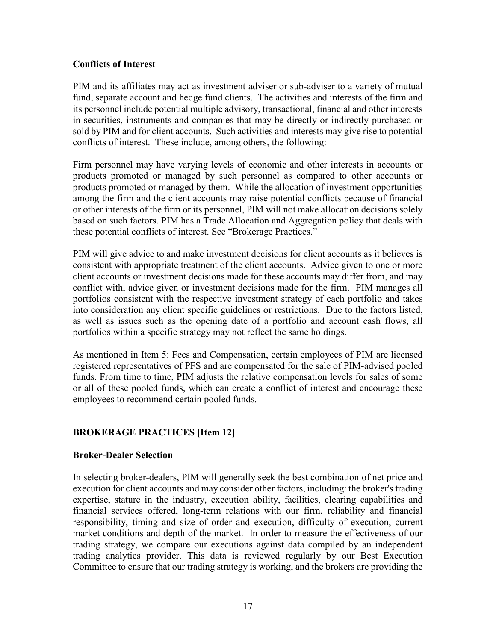### **Conflicts of Interest**

PIM and its affiliates may act as investment adviser or sub-adviser to a variety of mutual fund, separate account and hedge fund clients. The activities and interests of the firm and its personnel include potential multiple advisory, transactional, financial and other interests in securities, instruments and companies that may be directly or indirectly purchased or sold by PIM and for client accounts. Such activities and interests may give rise to potential conflicts of interest. These include, among others, the following:

Firm personnel may have varying levels of economic and other interests in accounts or products promoted or managed by such personnel as compared to other accounts or products promoted or managed by them. While the allocation of investment opportunities among the firm and the client accounts may raise potential conflicts because of financial or other interests of the firm or its personnel, PIM will not make allocation decisions solely based on such factors. PIM has a Trade Allocation and Aggregation policy that deals with these potential conflicts of interest. See "Brokerage Practices."

PIM will give advice to and make investment decisions for client accounts as it believes is consistent with appropriate treatment of the client accounts. Advice given to one or more client accounts or investment decisions made for these accounts may differ from, and may conflict with, advice given or investment decisions made for the firm. PIM manages all portfolios consistent with the respective investment strategy of each portfolio and takes into consideration any client specific guidelines or restrictions. Due to the factors listed, as well as issues such as the opening date of a portfolio and account cash flows, all portfolios within a specific strategy may not reflect the same holdings.

As mentioned in Item 5: Fees and Compensation, certain employees of PIM are licensed registered representatives of PFS and are compensated for the sale of PIM-advised pooled funds. From time to time, PIM adjusts the relative compensation levels for sales of some or all of these pooled funds, which can create a conflict of interest and encourage these employees to recommend certain pooled funds.

### **BROKERAGE PRACTICES [Item 12]**

### **Broker-Dealer Selection**

In selecting broker-dealers, PIM will generally seek the best combination of net price and execution for client accounts and may consider other factors, including: the broker's trading expertise, stature in the industry, execution ability, facilities, clearing capabilities and financial services offered, long-term relations with our firm, reliability and financial responsibility, timing and size of order and execution, difficulty of execution, current market conditions and depth of the market. In order to measure the effectiveness of our trading strategy, we compare our executions against data compiled by an independent trading analytics provider. This data is reviewed regularly by our Best Execution Committee to ensure that our trading strategy is working, and the brokers are providing the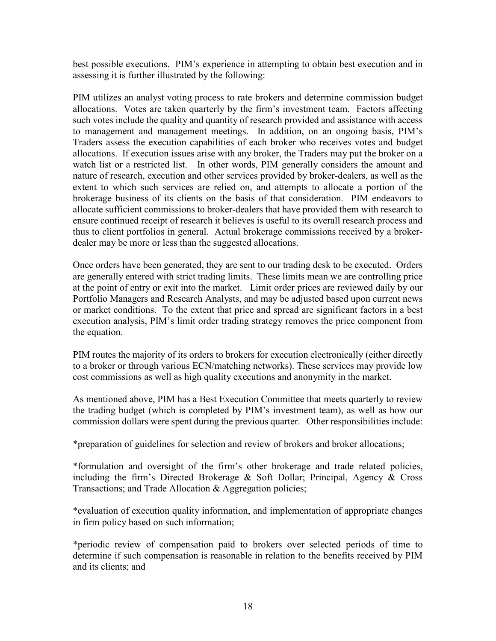best possible executions. PIM's experience in attempting to obtain best execution and in assessing it is further illustrated by the following:

PIM utilizes an analyst voting process to rate brokers and determine commission budget allocations. Votes are taken quarterly by the firm's investment team. Factors affecting such votes include the quality and quantity of research provided and assistance with access to management and management meetings. In addition, on an ongoing basis, PIM's Traders assess the execution capabilities of each broker who receives votes and budget allocations. If execution issues arise with any broker, the Traders may put the broker on a watch list or a restricted list. In other words, PIM generally considers the amount and nature of research, execution and other services provided by broker-dealers, as well as the extent to which such services are relied on, and attempts to allocate a portion of the brokerage business of its clients on the basis of that consideration. PIM endeavors to allocate sufficient commissions to broker-dealers that have provided them with research to ensure continued receipt of research it believes is useful to its overall research process and thus to client portfolios in general. Actual brokerage commissions received by a brokerdealer may be more or less than the suggested allocations.

Once orders have been generated, they are sent to our trading desk to be executed. Orders are generally entered with strict trading limits. These limits mean we are controlling price at the point of entry or exit into the market. Limit order prices are reviewed daily by our Portfolio Managers and Research Analysts, and may be adjusted based upon current news or market conditions. To the extent that price and spread are significant factors in a best execution analysis, PIM's limit order trading strategy removes the price component from the equation.

PIM routes the majority of its orders to brokers for execution electronically (either directly to a broker or through various ECN/matching networks). These services may provide low cost commissions as well as high quality executions and anonymity in the market.

As mentioned above, PIM has a Best Execution Committee that meets quarterly to review the trading budget (which is completed by PIM's investment team), as well as how our commission dollars were spent during the previous quarter. Other responsibilities include:

\*preparation of guidelines for selection and review of brokers and broker allocations;

\*formulation and oversight of the firm's other brokerage and trade related policies, including the firm's Directed Brokerage & Soft Dollar; Principal, Agency & Cross Transactions; and Trade Allocation & Aggregation policies;

\*evaluation of execution quality information, and implementation of appropriate changes in firm policy based on such information;

\*periodic review of compensation paid to brokers over selected periods of time to determine if such compensation is reasonable in relation to the benefits received by PIM and its clients; and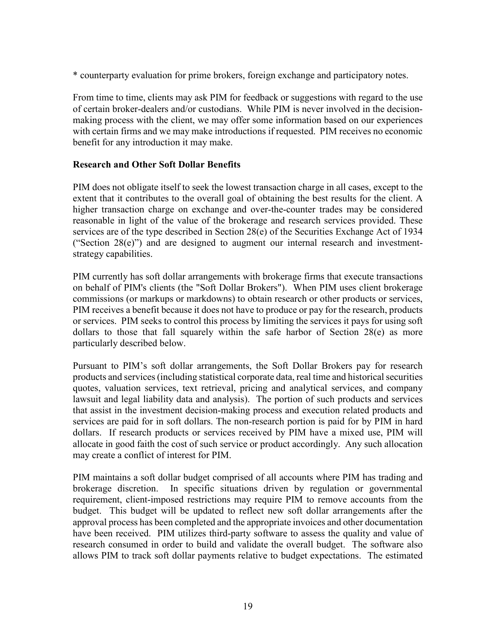\* counterparty evaluation for prime brokers, foreign exchange and participatory notes.

From time to time, clients may ask PIM for feedback or suggestions with regard to the use of certain broker-dealers and/or custodians. While PIM is never involved in the decisionmaking process with the client, we may offer some information based on our experiences with certain firms and we may make introductions if requested. PIM receives no economic benefit for any introduction it may make.

#### **Research and Other Soft Dollar Benefits**

PIM does not obligate itself to seek the lowest transaction charge in all cases, except to the extent that it contributes to the overall goal of obtaining the best results for the client. A higher transaction charge on exchange and over-the-counter trades may be considered reasonable in light of the value of the brokerage and research services provided. These services are of the type described in Section 28(e) of the Securities Exchange Act of 1934 ("Section  $28(e)$ ") and are designed to augment our internal research and investmentstrategy capabilities.

PIM currently has soft dollar arrangements with brokerage firms that execute transactions on behalf of PIM's clients (the "Soft Dollar Brokers"). When PIM uses client brokerage commissions (or markups or markdowns) to obtain research or other products or services, PIM receives a benefit because it does not have to produce or pay for the research, products or services. PIM seeks to control this process by limiting the services it pays for using soft dollars to those that fall squarely within the safe harbor of Section 28(e) as more particularly described below.

Pursuant to PIM's soft dollar arrangements, the Soft Dollar Brokers pay for research products and services (including statistical corporate data, real time and historical securities quotes, valuation services, text retrieval, pricing and analytical services, and company lawsuit and legal liability data and analysis). The portion of such products and services that assist in the investment decision-making process and execution related products and services are paid for in soft dollars. The non-research portion is paid for by PIM in hard dollars. If research products or services received by PIM have a mixed use, PIM will allocate in good faith the cost of such service or product accordingly. Any such allocation may create a conflict of interest for PIM.

PIM maintains a soft dollar budget comprised of all accounts where PIM has trading and brokerage discretion. In specific situations driven by regulation or governmental requirement, client-imposed restrictions may require PIM to remove accounts from the budget. This budget will be updated to reflect new soft dollar arrangements after the approval process has been completed and the appropriate invoices and other documentation have been received. PIM utilizes third-party software to assess the quality and value of research consumed in order to build and validate the overall budget. The software also allows PIM to track soft dollar payments relative to budget expectations. The estimated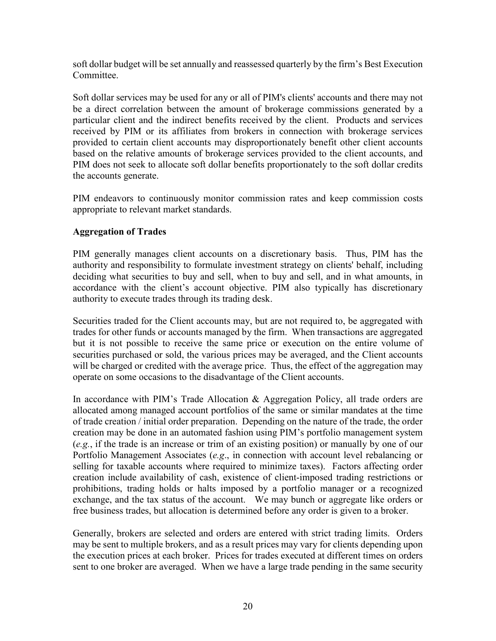soft dollar budget will be set annually and reassessed quarterly by the firm's Best Execution Committee.

Soft dollar services may be used for any or all of PIM's clients' accounts and there may not be a direct correlation between the amount of brokerage commissions generated by a particular client and the indirect benefits received by the client. Products and services received by PIM or its affiliates from brokers in connection with brokerage services provided to certain client accounts may disproportionately benefit other client accounts based on the relative amounts of brokerage services provided to the client accounts, and PIM does not seek to allocate soft dollar benefits proportionately to the soft dollar credits the accounts generate.

PIM endeavors to continuously monitor commission rates and keep commission costs appropriate to relevant market standards.

### **Aggregation of Trades**

PIM generally manages client accounts on a discretionary basis. Thus, PIM has the authority and responsibility to formulate investment strategy on clients' behalf, including deciding what securities to buy and sell, when to buy and sell, and in what amounts, in accordance with the client's account objective. PIM also typically has discretionary authority to execute trades through its trading desk.

Securities traded for the Client accounts may, but are not required to, be aggregated with trades for other funds or accounts managed by the firm. When transactions are aggregated but it is not possible to receive the same price or execution on the entire volume of securities purchased or sold, the various prices may be averaged, and the Client accounts will be charged or credited with the average price. Thus, the effect of the aggregation may operate on some occasions to the disadvantage of the Client accounts.

In accordance with PIM's Trade Allocation & Aggregation Policy, all trade orders are allocated among managed account portfolios of the same or similar mandates at the time of trade creation / initial order preparation. Depending on the nature of the trade, the order creation may be done in an automated fashion using PIM's portfolio management system (*e.g.*, if the trade is an increase or trim of an existing position) or manually by one of our Portfolio Management Associates (*e.g*., in connection with account level rebalancing or selling for taxable accounts where required to minimize taxes). Factors affecting order creation include availability of cash, existence of client-imposed trading restrictions or prohibitions, trading holds or halts imposed by a portfolio manager or a recognized exchange, and the tax status of the account. We may bunch or aggregate like orders or free business trades, but allocation is determined before any order is given to a broker.

Generally, brokers are selected and orders are entered with strict trading limits. Orders may be sent to multiple brokers, and as a result prices may vary for clients depending upon the execution prices at each broker. Prices for trades executed at different times on orders sent to one broker are averaged. When we have a large trade pending in the same security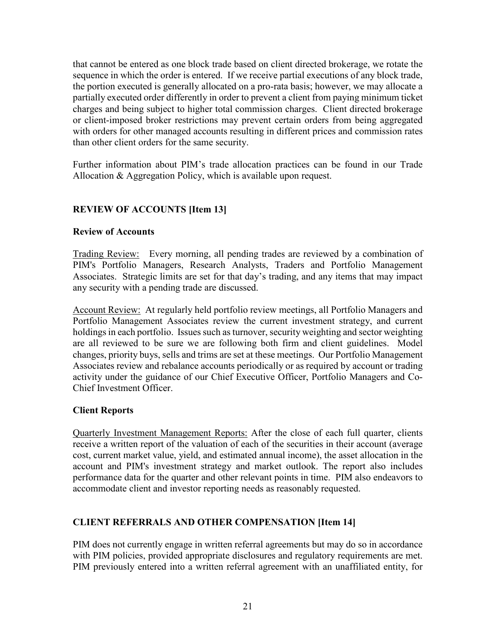that cannot be entered as one block trade based on client directed brokerage, we rotate the sequence in which the order is entered. If we receive partial executions of any block trade, the portion executed is generally allocated on a pro-rata basis; however, we may allocate a partially executed order differently in order to prevent a client from paying minimum ticket charges and being subject to higher total commission charges. Client directed brokerage or client-imposed broker restrictions may prevent certain orders from being aggregated with orders for other managed accounts resulting in different prices and commission rates than other client orders for the same security.

Further information about PIM's trade allocation practices can be found in our Trade Allocation & Aggregation Policy, which is available upon request.

# **REVIEW OF ACCOUNTS [Item 13]**

#### **Review of Accounts**

Trading Review: Every morning, all pending trades are reviewed by a combination of PIM's Portfolio Managers, Research Analysts, Traders and Portfolio Management Associates. Strategic limits are set for that day's trading, and any items that may impact any security with a pending trade are discussed.

Account Review: At regularly held portfolio review meetings, all Portfolio Managers and Portfolio Management Associates review the current investment strategy, and current holdings in each portfolio. Issues such as turnover, security weighting and sector weighting are all reviewed to be sure we are following both firm and client guidelines. Model changes, priority buys, sells and trims are set at these meetings. Our Portfolio Management Associates review and rebalance accounts periodically or as required by account or trading activity under the guidance of our Chief Executive Officer, Portfolio Managers and Co-Chief Investment Officer.

### **Client Reports**

Quarterly Investment Management Reports: After the close of each full quarter, clients receive a written report of the valuation of each of the securities in their account (average cost, current market value, yield, and estimated annual income), the asset allocation in the account and PIM's investment strategy and market outlook. The report also includes performance data for the quarter and other relevant points in time. PIM also endeavors to accommodate client and investor reporting needs as reasonably requested.

### **CLIENT REFERRALS AND OTHER COMPENSATION [Item 14]**

PIM does not currently engage in written referral agreements but may do so in accordance with PIM policies, provided appropriate disclosures and regulatory requirements are met. PIM previously entered into a written referral agreement with an unaffiliated entity, for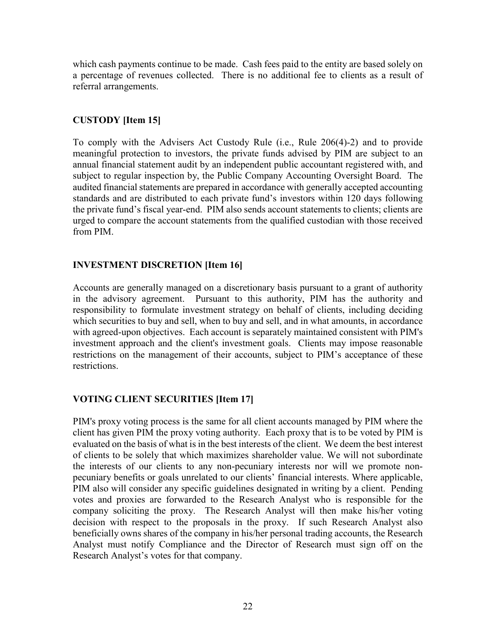which cash payments continue to be made. Cash fees paid to the entity are based solely on a percentage of revenues collected. There is no additional fee to clients as a result of referral arrangements.

# **CUSTODY [Item 15]**

To comply with the Advisers Act Custody Rule (i.e., Rule 206(4)-2) and to provide meaningful protection to investors, the private funds advised by PIM are subject to an annual financial statement audit by an independent public accountant registered with, and subject to regular inspection by, the Public Company Accounting Oversight Board. The audited financial statements are prepared in accordance with generally accepted accounting standards and are distributed to each private fund's investors within 120 days following the private fund's fiscal year-end. PIM also sends account statements to clients; clients are urged to compare the account statements from the qualified custodian with those received from PIM.

# **INVESTMENT DISCRETION [Item 16]**

Accounts are generally managed on a discretionary basis pursuant to a grant of authority in the advisory agreement. Pursuant to this authority, PIM has the authority and responsibility to formulate investment strategy on behalf of clients, including deciding which securities to buy and sell, when to buy and sell, and in what amounts, in accordance with agreed-upon objectives. Each account is separately maintained consistent with PIM's investment approach and the client's investment goals. Clients may impose reasonable restrictions on the management of their accounts, subject to PIM's acceptance of these restrictions.

# **VOTING CLIENT SECURITIES [Item 17]**

PIM's proxy voting process is the same for all client accounts managed by PIM where the client has given PIM the proxy voting authority. Each proxy that is to be voted by PIM is evaluated on the basis of what is in the best interests of the client. We deem the best interest of clients to be solely that which maximizes shareholder value. We will not subordinate the interests of our clients to any non-pecuniary interests nor will we promote nonpecuniary benefits or goals unrelated to our clients' financial interests. Where applicable, PIM also will consider any specific guidelines designated in writing by a client. Pending votes and proxies are forwarded to the Research Analyst who is responsible for the company soliciting the proxy. The Research Analyst will then make his/her voting decision with respect to the proposals in the proxy. If such Research Analyst also beneficially owns shares of the company in his/her personal trading accounts, the Research Analyst must notify Compliance and the Director of Research must sign off on the Research Analyst's votes for that company.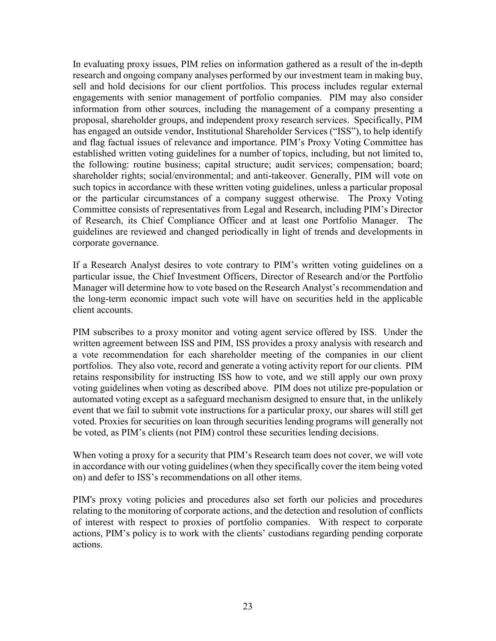In evaluating proxy issues, PIM relies on information gathered as a result of the in-depth research and ongoing company analyses performed by our investment team in making buy, sell and hold decisions for our client portfolios. This process includes regular external engagements with senior management of portfolio companies. PIM may also consider information from other sources, including the management of a company presenting a proposal, shareholder groups, and independent proxy research services. Specifically, PIM has engaged an outside vendor, Institutional Shareholder Services ("ISS"), to help identify and flag factual issues of relevance and importance. PIM's Proxy Voting Committee has established written voting guidelines for a number of topics, including, but not limited to, the following: routine business; capital structure; audit services; compensation; board; shareholder rights; social/environmental; and anti-takeover. Generally, PIM will vote on such topics in accordance with these written voting guidelines, unless a particular proposal or the particular circumstances of a company suggest otherwise. The Proxy Voting Committee consists of representatives from Legal and Research, including PIM's Director of Research, its Chief Compliance Officer and at least one Portfolio Manager. The guidelines are reviewed and changed periodically in light of trends and developments in corporate governance.

If a Research Analyst desires to vote contrary to PIM's written voting guidelines on a particular issue, the Chief Investment Officers, Director of Research and/or the Portfolio Manager will determine how to vote based on the Research Analyst's recommendation and the long-term economic impact such vote will have on securities held in the applicable client accounts.

PIM subscribes to a proxy monitor and voting agent service offered by ISS. Under the written agreement between ISS and PIM, ISS provides a proxy analysis with research and a vote recommendation for each shareholder meeting of the companies in our client portfolios. They also vote, record and generate a voting activity report for our clients. PIM retains responsibility for instructing ISS how to vote, and we still apply our own proxy voting guidelines when voting as described above. PIM does not utilize pre-population or automated voting except as a safeguard mechanism designed to ensure that, in the unlikely event that we fail to submit vote instructions for a particular proxy, our shares will still get voted. Proxies for securities on loan through securities lending programs will generally not be voted, as PIM's clients (not PIM) control these securities lending decisions.

When voting a proxy for a security that PIM's Research team does not cover, we will vote in accordance with our voting guidelines (when they specifically cover the item being voted on) and defer to ISS's recommendations on all other items.

PIM's proxy voting policies and procedures also set forth our policies and procedures relating to the monitoring of corporate actions, and the detection and resolution of conflicts of interest with respect to proxies of portfolio companies. With respect to corporate actions, PIM's policy is to work with the clients' custodians regarding pending corporate actions.